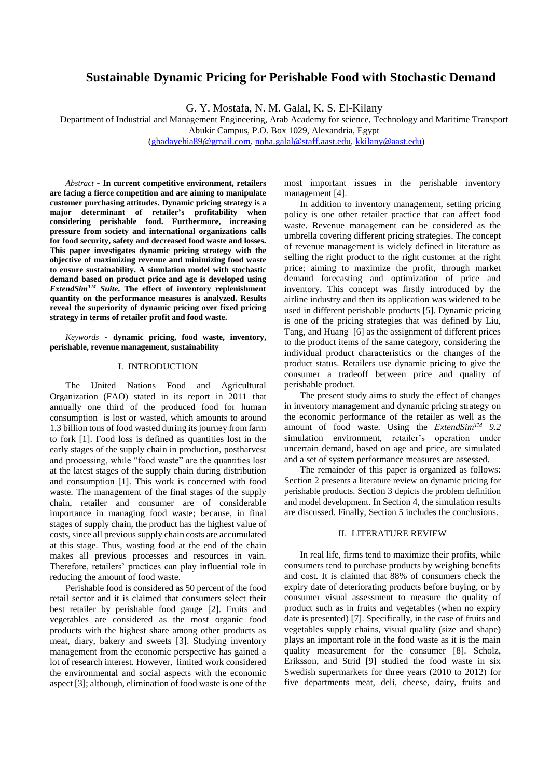# **Sustainable Dynamic Pricing for Perishable Food with Stochastic Demand**

G. Y. Mostafa, N. M. Galal, K. S. El-Kilany

Department of Industrial and Management Engineering, Arab Academy for science, Technology and Maritime Transport

Abukir Campus, P.O. Box 1029, Alexandria, Egypt

[\(ghadayehia89@gmail.com,](mailto:kkilany@aast.edu) [noha.galal@staff.aast.edu,](mailto:noha.galal@staff.aast.edu) [kkilany@aast.edu\)](mailto:kkilany@aast.edu)

*Abstract* - **In current competitive environment, retailers are facing a fierce competition and are aiming to manipulate customer purchasing attitudes. Dynamic pricing strategy is a major determinant of retailer's profitability when considering perishable food. Furthermore, increasing pressure from society and international organizations calls for food security, safety and decreased food waste and losses. This paper investigates dynamic pricing strategy with the objective of maximizing revenue and minimizing food waste to ensure sustainability. A simulation model with stochastic demand based on product price and age is developed using**  *ExtendSimTM Suite***. The effect of inventory replenishment quantity on the performance measures is analyzed. Results reveal the superiority of dynamic pricing over fixed pricing strategy in terms of retailer profit and food waste.**

*Keywords* - **dynamic pricing, food waste, inventory, perishable, revenue management, sustainability** 

#### I. INTRODUCTION

The United Nations Food and Agricultural Organization (FAO) stated in its report in 2011 that annually one third of the produced food for human consumption is lost or wasted, which amounts to around 1.3 billion tons of food wasted during its journey from farm to fork [1]. Food loss is defined as quantities lost in the early stages of the supply chain in production, postharvest and processing, while "food waste" are the quantities lost at the latest stages of the supply chain during distribution and consumption [1]. This work is concerned with food waste. The management of the final stages of the supply chain, retailer and consumer are of considerable importance in managing food waste; because, in final stages of supply chain, the product has the highest value of costs, since all previous supply chain costs are accumulated at this stage. Thus, wasting food at the end of the chain makes all previous processes and resources in vain. Therefore, retailers' practices can play influential role in reducing the amount of food waste.

Perishable food is considered as 50 percent of the food retail sector and it is claimed that consumers select their best retailer by perishable food gauge [2]. Fruits and vegetables are considered as the most organic food products with the highest share among other products as meat, diary, bakery and sweets [3]. Studying inventory management from the economic perspective has gained a lot of research interest. However, limited work considered the environmental and social aspects with the economic aspect [3]; although, elimination of food waste is one of the

most important issues in the perishable inventory management [4].

In addition to inventory management, setting pricing policy is one other retailer practice that can affect food waste. Revenue management can be considered as the umbrella covering different pricing strategies. The concept of revenue management is widely defined in literature as selling the right product to the right customer at the right price; aiming to maximize the profit, through market demand forecasting and optimization of price and inventory. This concept was firstly introduced by the airline industry and then its application was widened to be used in different perishable products [5]. Dynamic pricing is one of the pricing strategies that was defined by Liu, Tang, and Huang [6] as the assignment of different prices to the product items of the same category, considering the individual product characteristics or the changes of the product status. Retailers use dynamic pricing to give the consumer a tradeoff between price and quality of perishable product.

The present study aims to study the effect of changes in inventory management and dynamic pricing strategy on the economic performance of the retailer as well as the amount of food waste. Using the *ExtendSimTM 9.2*  simulation environment, retailer's operation under uncertain demand, based on age and price, are simulated and a set of system performance measures are assessed.

The remainder of this paper is organized as follows: Section 2 presents a literature review on dynamic pricing for perishable products. Section 3 depicts the problem definition and model development. In Section 4, the simulation results are discussed. Finally, Section 5 includes the conclusions.

#### II. LITERATURE REVIEW

In real life, firms tend to maximize their profits, while consumers tend to purchase products by weighing benefits and cost. It is claimed that 88% of consumers check the expiry date of deteriorating products before buying, or by consumer visual assessment to measure the quality of product such as in fruits and vegetables (when no expiry date is presented) [7]. Specifically, in the case of fruits and vegetables supply chains, visual quality (size and shape) plays an important role in the food waste as it is the main quality measurement for the consumer [8]. Scholz, Eriksson, and Strid [9] studied the food waste in six Swedish supermarkets for three years (2010 to 2012) for five departments meat, deli, cheese, dairy, fruits and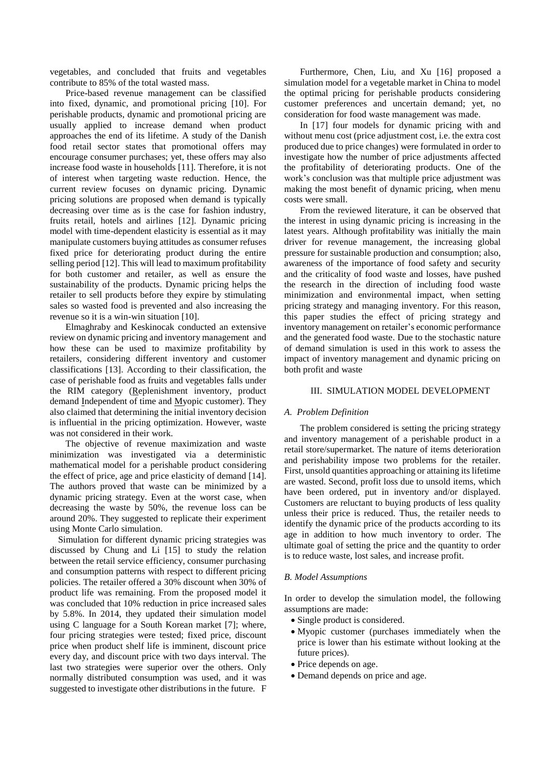vegetables, and concluded that fruits and vegetables contribute to 85% of the total wasted mass.

Price-based revenue management can be classified into fixed, dynamic, and promotional pricing [10]. For perishable products, dynamic and promotional pricing are usually applied to increase demand when product approaches the end of its lifetime. A study of the Danish food retail sector states that promotional offers may encourage consumer purchases; yet, these offers may also increase food waste in households [11]. Therefore, it is not of interest when targeting waste reduction. Hence, the current review focuses on dynamic pricing. Dynamic pricing solutions are proposed when demand is typically decreasing over time as is the case for fashion industry, fruits retail, hotels and airlines [12]. Dynamic pricing model with time-dependent elasticity is essential as it may manipulate customers buying attitudes as consumer refuses fixed price for deteriorating product during the entire selling period [12]. This will lead to maximum profitability for both customer and retailer, as well as ensure the sustainability of the products. Dynamic pricing helps the retailer to sell products before they expire by stimulating sales so wasted food is prevented and also increasing the revenue so it is a win-win situation [10].

Elmaghraby and Keskinocak conducted an extensive review on dynamic pricing and inventory management and how these can be used to maximize profitability by retailers, considering different inventory and customer classifications [13]. According to their classification, the case of perishable food as fruits and vegetables falls under the RIM category (Replenishment inventory, product demand Independent of time and Myopic customer). They also claimed that determining the initial inventory decision is influential in the pricing optimization. However, waste was not considered in their work.

The objective of revenue maximization and waste minimization was investigated via a deterministic mathematical model for a perishable product considering the effect of price, age and price elasticity of demand [14]. The authors proved that waste can be minimized by a dynamic pricing strategy. Even at the worst case, when decreasing the waste by 50%, the revenue loss can be around 20%. They suggested to replicate their experiment using Monte Carlo simulation.

Simulation for different dynamic pricing strategies was discussed by Chung and Li [15] to study the relation between the retail service efficiency, consumer purchasing and consumption patterns with respect to different pricing policies. The retailer offered a 30% discount when 30% of product life was remaining. From the proposed model it was concluded that 10% reduction in price increased sales by 5.8%. In 2014, they updated their simulation model using C language for a South Korean market [7]; where, four pricing strategies were tested; fixed price, discount price when product shelf life is imminent, discount price every day, and discount price with two days interval. The last two strategies were superior over the others. Only normally distributed consumption was used, and it was suggested to investigate other distributions in the future. F

Furthermore, Chen, Liu, and Xu [16] proposed a simulation model for a vegetable market in China to model the optimal pricing for perishable products considering customer preferences and uncertain demand; yet, no consideration for food waste management was made.

In [17] four models for dynamic pricing with and without menu cost (price adjustment cost, i.e. the extra cost produced due to price changes) were formulated in order to investigate how the number of price adjustments affected the profitability of deteriorating products. One of the work's conclusion was that multiple price adjustment was making the most benefit of dynamic pricing, when menu costs were small.

From the reviewed literature, it can be observed that the interest in using dynamic pricing is increasing in the latest years. Although profitability was initially the main driver for revenue management, the increasing global pressure for sustainable production and consumption; also, awareness of the importance of food safety and security and the criticality of food waste and losses, have pushed the research in the direction of including food waste minimization and environmental impact, when setting pricing strategy and managing inventory. For this reason, this paper studies the effect of pricing strategy and inventory management on retailer's economic performance and the generated food waste. Due to the stochastic nature of demand simulation is used in this work to assess the impact of inventory management and dynamic pricing on both profit and waste

#### III. SIMULATION MODEL DEVELOPMENT

#### *A. Problem Definition*

The problem considered is setting the pricing strategy and inventory management of a perishable product in a retail store/supermarket. The nature of items deterioration and perishability impose two problems for the retailer. First, unsold quantities approaching or attaining its lifetime are wasted. Second, profit loss due to unsold items, which have been ordered, put in inventory and/or displayed. Customers are reluctant to buying products of less quality unless their price is reduced. Thus, the retailer needs to identify the dynamic price of the products according to its age in addition to how much inventory to order. The ultimate goal of setting the price and the quantity to order is to reduce waste, lost sales, and increase profit.

#### *B. Model Assumptions*

In order to develop the simulation model, the following assumptions are made:

- Single product is considered.
- Myopic customer (purchases immediately when the price is lower than his estimate without looking at the future prices).
- Price depends on age.
- Demand depends on price and age.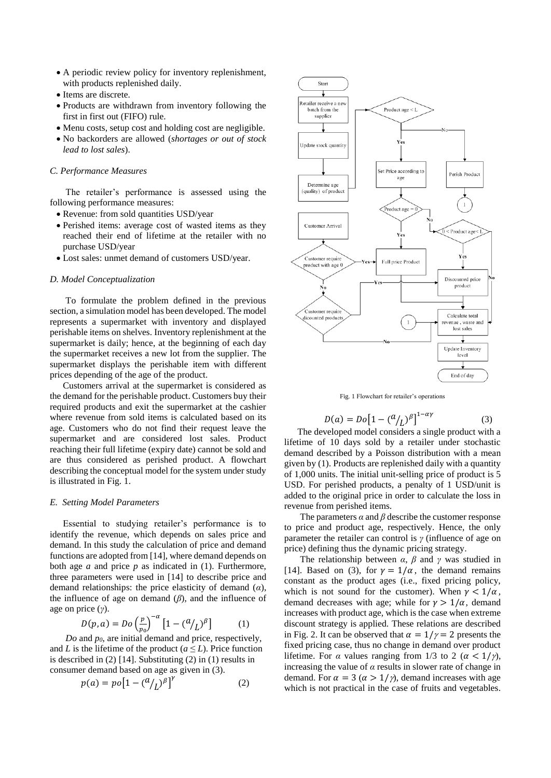- A periodic review policy for inventory replenishment, with products replenished daily.
- Items are discrete.
- Products are withdrawn from inventory following the first in first out (FIFO) rule.
- Menu costs, setup cost and holding cost are negligible.
- No backorders are allowed (*shortages or out of stock lead to lost sales*).

#### *C. Performance Measures*

The retailer's performance is assessed using the following performance measures:

- Revenue: from sold quantities USD/year
- Perished items: average cost of wasted items as they reached their end of lifetime at the retailer with no purchase USD/year
- Lost sales: unmet demand of customers USD/year.

#### *D. Model Conceptualization*

To formulate the problem defined in the previous section, a simulation model has been developed. The model represents a supermarket with inventory and displayed perishable items on shelves. Inventory replenishment at the supermarket is daily; hence, at the beginning of each day the supermarket receives a new lot from the supplier. The supermarket displays the perishable item with different prices depending of the age of the product.

Customers arrival at the supermarket is considered as the demand for the perishable product. Customers buy their required products and exit the supermarket at the cashier where revenue from sold items is calculated based on its age. Customers who do not find their request leave the supermarket and are considered lost sales. Product reaching their full lifetime (expiry date) cannot be sold and are thus considered as perished product. A flowchart describing the conceptual model for the system under study is illustrated in Fig. 1.

#### *E. Setting Model Parameters*

Essential to studying retailer's performance is to identify the revenue, which depends on sales price and demand. In this study the calculation of price and demand functions are adopted from [14], where demand depends on both age *a* and price *p* as indicated in (1). Furthermore, three parameters were used in [14] to describe price and demand relationships: the price elasticity of demand (*α*), the influence of age on demand (*β*), and the influence of age on price (*γ*).

$$
D(p, a) = Do\left(\frac{p}{p_0}\right)^{-\alpha} \left[1 - \left(\frac{a}{L}\right)^{\beta}\right] \tag{1}
$$

*Do* and *p0*, are initial demand and price, respectively, and *L* is the lifetime of the product  $(a \leq L)$ . Price function is described in (2) [14]. Substituting (2) in (1) results in consumer demand based on age as given in (3).

$$
p(a) = p o \left[ 1 - \left( \frac{a}{L} \right)^{\beta} \right]^{\gamma} \tag{2}
$$



Fig. 1 Flowchart for retailer's operations

$$
D(a) = Do[1 - \left(\frac{a}{L}\right)^{\beta}]^{1 - \alpha \gamma}
$$
 (3)

The developed model considers a single product with a lifetime of 10 days sold by a retailer under stochastic demand described by a Poisson distribution with a mean given by (1). Products are replenished daily with a quantity of 1,000 units. The initial unit-selling price of product is 5 USD. For perished products, a penalty of 1 USD/unit is added to the original price in order to calculate the loss in revenue from perished items.

The parameters  $\alpha$  and  $\beta$  describe the customer response to price and product age, respectively. Hence, the only parameter the retailer can control is *γ* (influence of age on price) defining thus the dynamic pricing strategy.

The relationship between *α*, *β* and *γ* was studied in [14]. Based on (3), for  $\gamma = 1/\alpha$ , the demand remains constant as the product ages (i.e., fixed pricing policy, which is not sound for the customer). When  $\gamma < 1/\alpha$ , demand decreases with age; while for  $\gamma > 1/\alpha$ , demand increases with product age, which is the case when extreme discount strategy is applied. These relations are described in Fig. 2. It can be observed that  $\alpha = 1/\gamma = 2$  presents the fixed pricing case, thus no change in demand over product lifetime. For  $\alpha$  values ranging from 1/3 to 2 ( $\alpha < 1/\gamma$ ), increasing the value of *α* results in slower rate of change in demand. For  $\alpha = 3$  ( $\alpha > 1/\gamma$ ), demand increases with age which is not practical in the case of fruits and vegetables.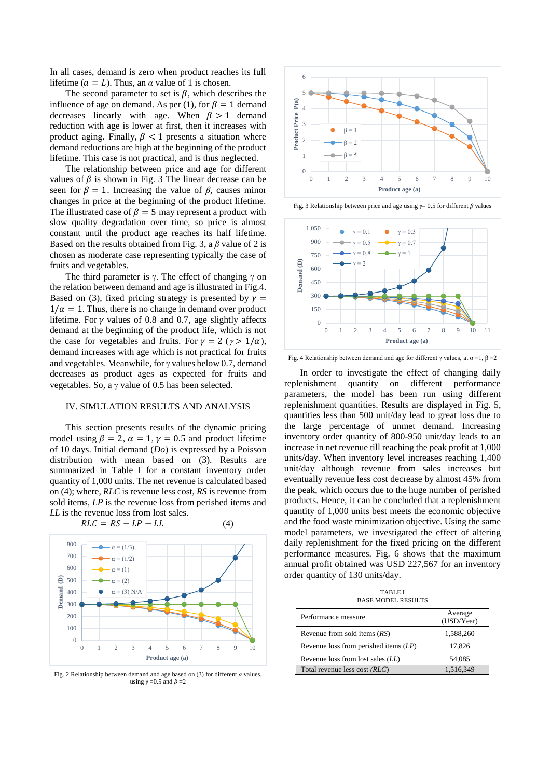In all cases, demand is zero when product reaches its full lifetime ( $a = L$ ). Thus, an  $\alpha$  value of 1 is chosen.

The second parameter to set is  $\beta$ , which describes the influence of age on demand. As per (1), for  $\beta = 1$  demand decreases linearly with age. When  $\beta > 1$  demand reduction with age is lower at first, then it increases with product aging. Finally,  $\beta$  < 1 presents a situation where demand reductions are high at the beginning of the product lifetime. This case is not practical, and is thus neglected.

The relationship between price and age for different values of  $\beta$  is shown in Fig. 3 The linear decrease can be seen for  $\beta = 1$ . Increasing the value of  $\beta$ , causes minor changes in price at the beginning of the product lifetime. The illustrated case of  $\beta = 5$  may represent a product with slow quality degradation over time, so price is almost constant until the product age reaches its half lifetime. Based on the results obtained from Fig. 3, a *β* value of 2 is chosen as moderate case representing typically the case of fruits and vegetables.

The third parameter is  $\gamma$ . The effect of changing  $\gamma$  on the relation between demand and age is illustrated in Fig.4. Based on (3), fixed pricing strategy is presented by  $\gamma =$  $1/\alpha = 1$ . Thus, there is no change in demand over product lifetime. For  $\gamma$  values of 0.8 and 0.7, age slightly affects demand at the beginning of the product life, which is not the case for vegetables and fruits. For  $\gamma = 2$  ( $\gamma > 1/\alpha$ ), demand increases with age which is not practical for fruits and vegetables. Meanwhile, for  $\gamma$  values below 0.7, demand decreases as product ages as expected for fruits and vegetables. So, a  $\gamma$  value of 0.5 has been selected.

#### IV. SIMULATION RESULTS AND ANALYSIS

This section presents results of the dynamic pricing model using  $\beta = 2$ ,  $\alpha = 1$ ,  $\gamma = 0.5$  and product lifetime of 10 days. Initial demand (*Do*) is expressed by a Poisson distribution with mean based on (3). Results are summarized in Table I for a constant inventory order quantity of 1,000 units. The net revenue is calculated based on (4); where, *RLC* is revenue less cost, *RS* is revenue from sold items, *LP* is the revenue loss from perished items and *LL* is the revenue loss from lost sales.



Fig. 2 Relationship between demand and age based on (3) for different  $\alpha$  values, using  $\gamma = 0.5$  and  $\beta = 2$ 



Fig. 3 Relationship between price and age using *γ*= 0.5 for different *β* values



Fig. 4 Relationship between demand and age for different γ values, at  $\alpha = 1$ ,  $\beta = 2$ 

In order to investigate the effect of changing daily replenishment quantity on different performance parameters, the model has been run using different replenishment quantities. Results are displayed in Fig. 5, quantities less than 500 unit/day lead to great loss due to the large percentage of unmet demand. Increasing inventory order quantity of 800-950 unit/day leads to an increase in net revenue till reaching the peak profit at 1,000 units/day. When inventory level increases reaching 1,400 unit/day although revenue from sales increases but eventually revenue less cost decrease by almost 45% from the peak, which occurs due to the huge number of perished products. Hence, it can be concluded that a replenishment quantity of 1,000 units best meets the economic objective and the food waste minimization objective. Using the same model parameters, we investigated the effect of altering daily replenishment for the fixed pricing on the different performance measures. Fig. 6 shows that the maximum annual profit obtained was USD 227,567 for an inventory order quantity of 130 units/day.

TABLE I BASE MODEL RESULTS

| Performance measure                     | Average<br>(USD/Year) |
|-----------------------------------------|-----------------------|
| Revenue from sold items $(RS)$          | 1,588,260             |
| Revenue loss from perished items $(LP)$ | 17,826                |
| Revenue loss from lost sales (LL)       | 54,085                |
| Total revenue less cost <i>(RLC)</i>    | 1,516,349             |